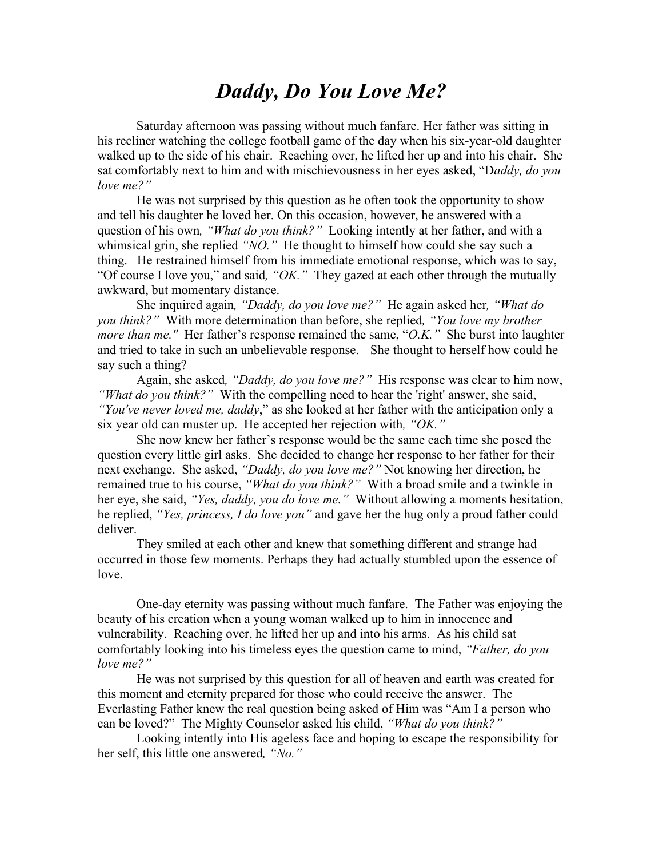## *Daddy, Do You Love Me?*

Saturday afternoon was passing without much fanfare. Her father was sitting in his recliner watching the college football game of the day when his six-year-old daughter walked up to the side of his chair. Reaching over, he lifted her up and into his chair. She sat comfortably next to him and with mischievousness in her eyes asked, "D*addy, do you love me?"*

He was not surprised by this question as he often took the opportunity to show and tell his daughter he loved her. On this occasion, however, he answered with a question of his own*, "What do you think?"* Looking intently at her father, and with a whimsical grin, she replied *"NO."* He thought to himself how could she say such a thing. He restrained himself from his immediate emotional response, which was to say, "Of course I love you," and said*, "OK."* They gazed at each other through the mutually awkward, but momentary distance.

She inquired again*, "Daddy, do you love me?"* He again asked her*, "What do you think?"* With more determination than before, she replied*, "You love my brother more than me."* Her father's response remained the same, "*O.K."* She burst into laughter and tried to take in such an unbelievable response. She thought to herself how could he say such a thing?

Again, she asked*, "Daddy, do you love me?"* His response was clear to him now, *"What do you think?"* With the compelling need to hear the 'right' answer, she said, *"You've never loved me, daddy*," as she looked at her father with the anticipation only a six year old can muster up. He accepted her rejection with*, "OK."*

She now knew her father's response would be the same each time she posed the question every little girl asks. She decided to change her response to her father for their next exchange. She asked, *"Daddy, do you love me?"* Not knowing her direction, he remained true to his course, *"What do you think?"* With a broad smile and a twinkle in her eye, she said, *"Yes, daddy, you do love me."* Without allowing a moments hesitation, he replied, *"Yes, princess, I do love you"* and gave her the hug only a proud father could deliver.

They smiled at each other and knew that something different and strange had occurred in those few moments. Perhaps they had actually stumbled upon the essence of love.

One-day eternity was passing without much fanfare. The Father was enjoying the beauty of his creation when a young woman walked up to him in innocence and vulnerability. Reaching over, he lifted her up and into his arms. As his child sat comfortably looking into his timeless eyes the question came to mind, *"Father, do you love me?"*

He was not surprised by this question for all of heaven and earth was created for this moment and eternity prepared for those who could receive the answer. The Everlasting Father knew the real question being asked of Him was "Am I a person who can be loved?" The Mighty Counselor asked his child, *"What do you think?"* 

Looking intently into His ageless face and hoping to escape the responsibility for her self, this little one answered*, "No."*